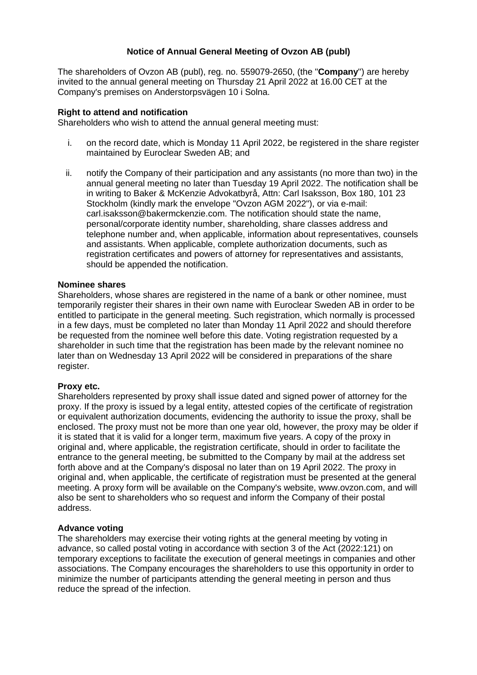# **Notice of Annual General Meeting of Ovzon AB (publ)**

The shareholders of Ovzon AB (publ), reg. no. 559079-2650, (the "**Company**") are hereby invited to the annual general meeting on Thursday 21 April 2022 at 16.00 CET at the Company's premises on Anderstorpsvägen 10 i Solna.

## **Right to attend and notification**

Shareholders who wish to attend the annual general meeting must:

- i. on the record date, which is Monday 11 April 2022, be registered in the share register maintained by Euroclear Sweden AB; and
- ii. notify the Company of their participation and any assistants (no more than two) in the annual general meeting no later than Tuesday 19 April 2022. The notification shall be in writing to Baker & McKenzie Advokatbyrå, Attn: Carl Isaksson, Box 180, 101 23 Stockholm (kindly mark the envelope "Ovzon AGM 2022"), or via e-mail: carl.isaksson@bakermckenzie.com. The notification should state the name, personal/corporate identity number, shareholding, share classes address and telephone number and, when applicable, information about representatives, counsels and assistants. When applicable, complete authorization documents, such as registration certificates and powers of attorney for representatives and assistants, should be appended the notification.

## **Nominee shares**

Shareholders, whose shares are registered in the name of a bank or other nominee, must temporarily register their shares in their own name with Euroclear Sweden AB in order to be entitled to participate in the general meeting. Such registration, which normally is processed in a few days, must be completed no later than Monday 11 April 2022 and should therefore be requested from the nominee well before this date. Voting registration requested by a shareholder in such time that the registration has been made by the relevant nominee no later than on Wednesday 13 April 2022 will be considered in preparations of the share register.

#### **Proxy etc.**

Shareholders represented by proxy shall issue dated and signed power of attorney for the proxy. If the proxy is issued by a legal entity, attested copies of the certificate of registration or equivalent authorization documents, evidencing the authority to issue the proxy, shall be enclosed. The proxy must not be more than one year old, however, the proxy may be older if it is stated that it is valid for a longer term, maximum five years. A copy of the proxy in original and, where applicable, the registration certificate, should in order to facilitate the entrance to the general meeting, be submitted to the Company by mail at the address set forth above and at the Company's disposal no later than on 19 April 2022. The proxy in original and, when applicable, the certificate of registration must be presented at the general meeting. A proxy form will be available on the Company's website, www.ovzon.com, and will also be sent to shareholders who so request and inform the Company of their postal address.

# **Advance voting**

The shareholders may exercise their voting rights at the general meeting by voting in advance, so called postal voting in accordance with section 3 of the Act (2022:121) on temporary exceptions to facilitate the execution of general meetings in companies and other associations. The Company encourages the shareholders to use this opportunity in order to minimize the number of participants attending the general meeting in person and thus reduce the spread of the infection.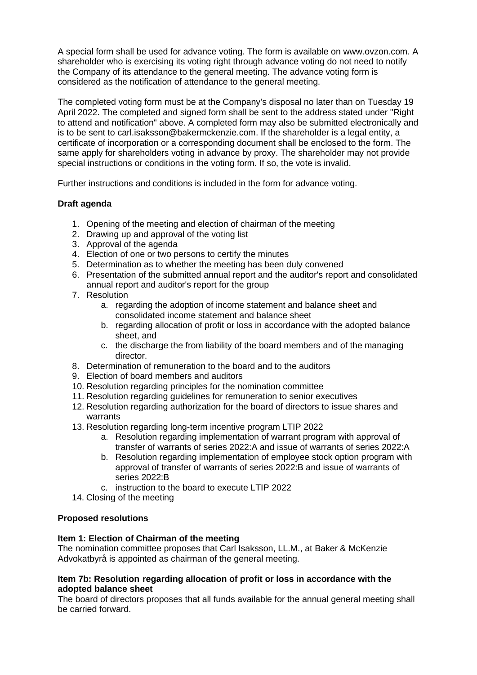A special form shall be used for advance voting. The form is available on www.ovzon.com. A shareholder who is exercising its voting right through advance voting do not need to notify the Company of its attendance to the general meeting. The advance voting form is considered as the notification of attendance to the general meeting.

The completed voting form must be at the Company's disposal no later than on Tuesday 19 April 2022. The completed and signed form shall be sent to the address stated under "Right" to attend and notification" above. A completed form may also be submitted electronically and is to be sent to carl.isaksson@bakermckenzie.com. If the shareholder is a legal entity, a certificate of incorporation or a corresponding document shall be enclosed to the form. The same apply for shareholders voting in advance by proxy. The shareholder may not provide special instructions or conditions in the voting form. If so, the vote is invalid.

Further instructions and conditions is included in the form for advance voting.

# **Draft agenda**

- 1. Opening of the meeting and election of chairman of the meeting
- 2. Drawing up and approval of the voting list
- 3. Approval of the agenda
- 4. Election of one or two persons to certify the minutes
- 5. Determination as to whether the meeting has been duly convened
- 6. Presentation of the submitted annual report and the auditor's report and consolidated annual report and auditor's report for the group
- 7. Resolution
	- a. regarding the adoption of income statement and balance sheet and consolidated income statement and balance sheet
	- b. regarding allocation of profit or loss in accordance with the adopted balance sheet, and
	- c. the discharge the from liability of the board members and of the managing director.
- 8. Determination of remuneration to the board and to the auditors
- 9. Election of board members and auditors
- 10. Resolution regarding principles for the nomination committee
- 11. Resolution regarding guidelines for remuneration to senior executives
- 12. Resolution regarding authorization for the board of directors to issue shares and warrants
- 13. Resolution regarding long-term incentive program LTIP 2022
	- a. Resolution regarding implementation of warrant program with approval of transfer of warrants of series 2022:A and issue of warrants of series 2022:A
	- b. Resolution regarding implementation of employee stock option program with approval of transfer of warrants of series 2022:B and issue of warrants of series 2022:B
	- c. instruction to the board to execute LTIP 2022
- 14. Closing of the meeting

# **Proposed resolutions**

# **Item 1: Election of Chairman of the meeting**

The nomination committee proposes that Carl Isaksson, LL.M., at Baker & McKenzie Advokatbyrå is appointed as chairman of the general meeting.

## **Item 7b: Resolution regarding allocation of profit or loss in accordance with the adopted balance sheet**

The board of directors proposes that all funds available for the annual general meeting shall be carried forward.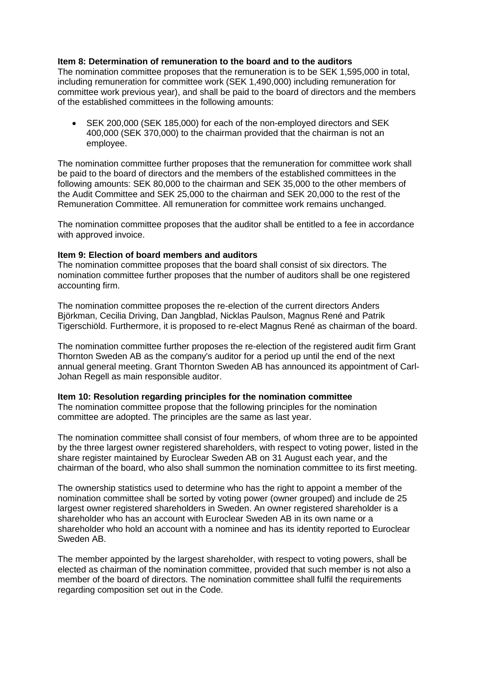# **Item 8: Determination of remuneration to the board and to the auditors**

The nomination committee proposes that the remuneration is to be SEK 1,595,000 in total, including remuneration for committee work (SEK 1,490,000) including remuneration for committee work previous year), and shall be paid to the board of directors and the members of the established committees in the following amounts:

• SEK 200,000 (SEK 185,000) for each of the non-employed directors and SEK 400,000 (SEK 370,000) to the chairman provided that the chairman is not an employee.

The nomination committee further proposes that the remuneration for committee work shall be paid to the board of directors and the members of the established committees in the following amounts: SEK 80,000 to the chairman and SEK 35,000 to the other members of the Audit Committee and SEK 25,000 to the chairman and SEK 20,000 to the rest of the Remuneration Committee. All remuneration for committee work remains unchanged.

The nomination committee proposes that the auditor shall be entitled to a fee in accordance with approved invoice.

#### **Item 9: Election of board members and auditors**

The nomination committee proposes that the board shall consist of six directors. The nomination committee further proposes that the number of auditors shall be one registered accounting firm.

The nomination committee proposes the re-election of the current directors Anders Björkman, Cecilia Driving, Dan Jangblad, Nicklas Paulson, Magnus René and Patrik Tigerschiöld. Furthermore, it is proposed to re-elect Magnus René as chairman of the board.

The nomination committee further proposes the re-election of the registered audit firm Grant Thornton Sweden AB as the company's auditor for a period up until the end of the next annual general meeting. Grant Thornton Sweden AB has announced its appointment of Carl-Johan Regell as main responsible auditor.

# **Item 10: Resolution regarding principles for the nomination committee**

The nomination committee propose that the following principles for the nomination committee are adopted. The principles are the same as last year.

The nomination committee shall consist of four members, of whom three are to be appointed by the three largest owner registered shareholders, with respect to voting power, listed in the share register maintained by Euroclear Sweden AB on 31 August each year, and the chairman of the board, who also shall summon the nomination committee to its first meeting.

The ownership statistics used to determine who has the right to appoint a member of the nomination committee shall be sorted by voting power (owner grouped) and include de 25 largest owner registered shareholders in Sweden. An owner registered shareholder is a shareholder who has an account with Euroclear Sweden AB in its own name or a shareholder who hold an account with a nominee and has its identity reported to Euroclear Sweden AB.

The member appointed by the largest shareholder, with respect to voting powers, shall be elected as chairman of the nomination committee, provided that such member is not also a member of the board of directors. The nomination committee shall fulfil the requirements regarding composition set out in the Code.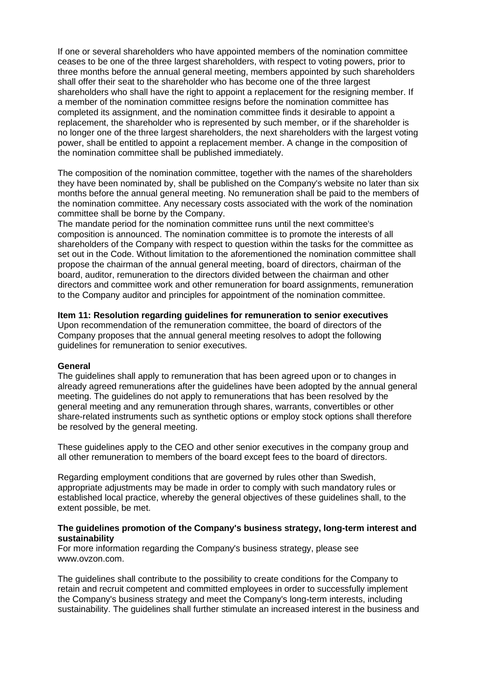If one or several shareholders who have appointed members of the nomination committee ceases to be one of the three largest shareholders, with respect to voting powers, prior to three months before the annual general meeting, members appointed by such shareholders shall offer their seat to the shareholder who has become one of the three largest shareholders who shall have the right to appoint a replacement for the resigning member. If a member of the nomination committee resigns before the nomination committee has completed its assignment, and the nomination committee finds it desirable to appoint a replacement, the shareholder who is represented by such member, or if the shareholder is no longer one of the three largest shareholders, the next shareholders with the largest voting power, shall be entitled to appoint a replacement member. A change in the composition of the nomination committee shall be published immediately.

The composition of the nomination committee, together with the names of the shareholders they have been nominated by, shall be published on the Company's website no later than six months before the annual general meeting. No remuneration shall be paid to the members of the nomination committee. Any necessary costs associated with the work of the nomination committee shall be borne by the Company.

The mandate period for the nomination committee runs until the next committee's composition is announced. The nomination committee is to promote the interests of all shareholders of the Company with respect to question within the tasks for the committee as set out in the Code. Without limitation to the aforementioned the nomination committee shall propose the chairman of the annual general meeting, board of directors, chairman of the board, auditor, remuneration to the directors divided between the chairman and other directors and committee work and other remuneration for board assignments, remuneration to the Company auditor and principles for appointment of the nomination committee.

## **Item 11: Resolution regarding guidelines for remuneration to senior executives**

Upon recommendation of the remuneration committee, the board of directors of the Company proposes that the annual general meeting resolves to adopt the following guidelines for remuneration to senior executives.

# **General**

The guidelines shall apply to remuneration that has been agreed upon or to changes in already agreed remunerations after the guidelines have been adopted by the annual general meeting. The guidelines do not apply to remunerations that has been resolved by the general meeting and any remuneration through shares, warrants, convertibles or other share-related instruments such as synthetic options or employ stock options shall therefore be resolved by the general meeting.

These guidelines apply to the CEO and other senior executives in the company group and all other remuneration to members of the board except fees to the board of directors.

Regarding employment conditions that are governed by rules other than Swedish, appropriate adjustments may be made in order to comply with such mandatory rules or established local practice, whereby the general objectives of these guidelines shall, to the extent possible, be met.

## **The guidelines promotion of the Company's business strategy, long-term interest and sustainability**

For more information regarding the Company's business strategy, please see www.ovzon.com.

The guidelines shall contribute to the possibility to create conditions for the Company to retain and recruit competent and committed employees in order to successfully implement the Company's business strategy and meet the Company's long-term interests, including sustainability. The guidelines shall further stimulate an increased interest in the business and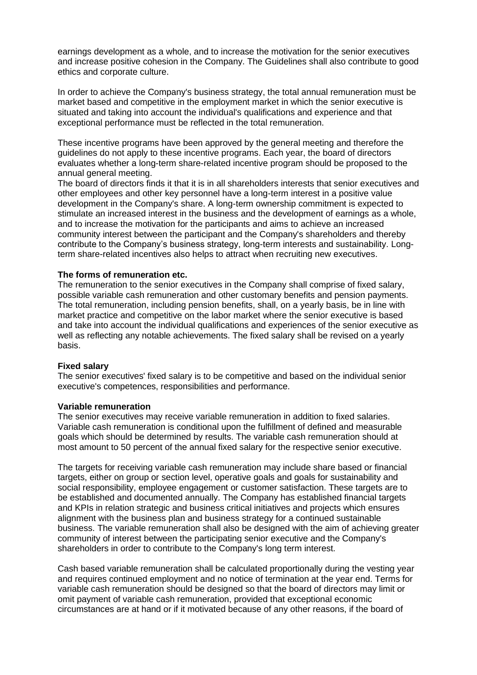earnings development as a whole, and to increase the motivation for the senior executives and increase positive cohesion in the Company. The Guidelines shall also contribute to good ethics and corporate culture.

In order to achieve the Company's business strategy, the total annual remuneration must be market based and competitive in the employment market in which the senior executive is situated and taking into account the individual's qualifications and experience and that exceptional performance must be reflected in the total remuneration.

These incentive programs have been approved by the general meeting and therefore the guidelines do not apply to these incentive programs. Each year, the board of directors evaluates whether a long-term share-related incentive program should be proposed to the annual general meeting.

The board of directors finds it that it is in all shareholders interests that senior executives and other employees and other key personnel have a long-term interest in a positive value development in the Company's share. A long-term ownership commitment is expected to stimulate an increased interest in the business and the development of earnings as a whole, and to increase the motivation for the participants and aims to achieve an increased community interest between the participant and the Company's shareholders and thereby contribute to the Company's business strategy, long-term interests and sustainability. Longterm share-related incentives also helps to attract when recruiting new executives.

#### **The forms of remuneration etc.**

The remuneration to the senior executives in the Company shall comprise of fixed salary, possible variable cash remuneration and other customary benefits and pension payments. The total remuneration, including pension benefits, shall, on a yearly basis, be in line with market practice and competitive on the labor market where the senior executive is based and take into account the individual qualifications and experiences of the senior executive as well as reflecting any notable achievements. The fixed salary shall be revised on a yearly basis.

#### **Fixed salary**

The senior executives' fixed salary is to be competitive and based on the individual senior executive's competences, responsibilities and performance.

#### **Variable remuneration**

The senior executives may receive variable remuneration in addition to fixed salaries. Variable cash remuneration is conditional upon the fulfillment of defined and measurable goals which should be determined by results. The variable cash remuneration should at most amount to 50 percent of the annual fixed salary for the respective senior executive.

The targets for receiving variable cash remuneration may include share based or financial targets, either on group or section level, operative goals and goals for sustainability and social responsibility, employee engagement or customer satisfaction. These targets are to be established and documented annually. The Company has established financial targets and KPIs in relation strategic and business critical initiatives and projects which ensures alignment with the business plan and business strategy for a continued sustainable business. The variable remuneration shall also be designed with the aim of achieving greater community of interest between the participating senior executive and the Company's shareholders in order to contribute to the Company's long term interest.

Cash based variable remuneration shall be calculated proportionally during the vesting year and requires continued employment and no notice of termination at the year end. Terms for variable cash remuneration should be designed so that the board of directors may limit or omit payment of variable cash remuneration, provided that exceptional economic circumstances are at hand or if it motivated because of any other reasons, if the board of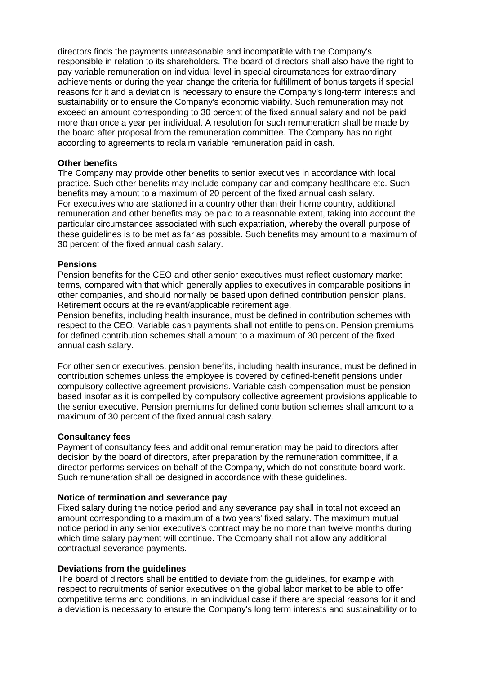directors finds the payments unreasonable and incompatible with the Company's responsible in relation to its shareholders. The board of directors shall also have the right to pay variable remuneration on individual level in special circumstances for extraordinary achievements or during the year change the criteria for fulfillment of bonus targets if special reasons for it and a deviation is necessary to ensure the Company's long-term interests and sustainability or to ensure the Company's economic viability. Such remuneration may not exceed an amount corresponding to 30 percent of the fixed annual salary and not be paid more than once a year per individual. A resolution for such remuneration shall be made by the board after proposal from the remuneration committee. The Company has no right according to agreements to reclaim variable remuneration paid in cash.

#### **Other benefits**

The Company may provide other benefits to senior executives in accordance with local practice. Such other benefits may include company car and company healthcare etc. Such benefits may amount to a maximum of 20 percent of the fixed annual cash salary. For executives who are stationed in a country other than their home country, additional remuneration and other benefits may be paid to a reasonable extent, taking into account the particular circumstances associated with such expatriation, whereby the overall purpose of these guidelines is to be met as far as possible. Such benefits may amount to a maximum of 30 percent of the fixed annual cash salary.

## **Pensions**

Pension benefits for the CEO and other senior executives must reflect customary market terms, compared with that which generally applies to executives in comparable positions in other companies, and should normally be based upon defined contribution pension plans. Retirement occurs at the relevant/applicable retirement age.

Pension benefits, including health insurance, must be defined in contribution schemes with respect to the CEO. Variable cash payments shall not entitle to pension. Pension premiums for defined contribution schemes shall amount to a maximum of 30 percent of the fixed annual cash salary.

For other senior executives, pension benefits, including health insurance, must be defined in contribution schemes unless the employee is covered by defined-benefit pensions under compulsory collective agreement provisions. Variable cash compensation must be pensionbased insofar as it is compelled by compulsory collective agreement provisions applicable to the senior executive. Pension premiums for defined contribution schemes shall amount to a maximum of 30 percent of the fixed annual cash salary.

#### **Consultancy fees**

Payment of consultancy fees and additional remuneration may be paid to directors after decision by the board of directors, after preparation by the remuneration committee, if a director performs services on behalf of the Company, which do not constitute board work. Such remuneration shall be designed in accordance with these guidelines.

#### **Notice of termination and severance pay**

Fixed salary during the notice period and any severance pay shall in total not exceed an amount corresponding to a maximum of a two years' fixed salary. The maximum mutual notice period in any senior executive's contract may be no more than twelve months during which time salary payment will continue. The Company shall not allow any additional contractual severance payments.

#### **Deviations from the guidelines**

The board of directors shall be entitled to deviate from the guidelines, for example with respect to recruitments of senior executives on the global labor market to be able to offer competitive terms and conditions, in an individual case if there are special reasons for it and a deviation is necessary to ensure the Company's long term interests and sustainability or to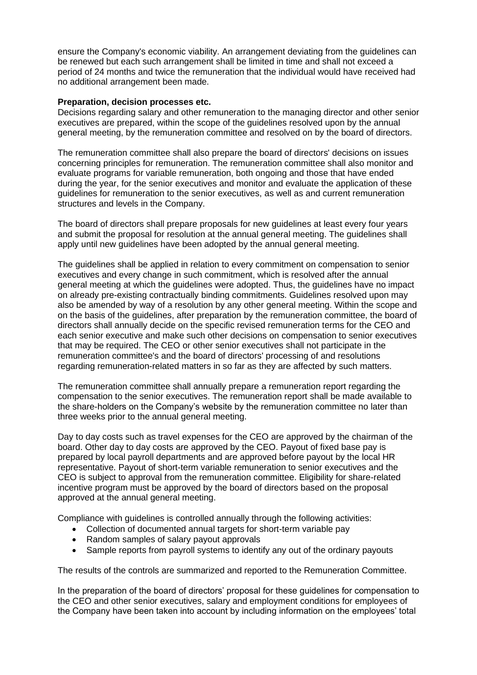ensure the Company's economic viability. An arrangement deviating from the guidelines can be renewed but each such arrangement shall be limited in time and shall not exceed a period of 24 months and twice the remuneration that the individual would have received had no additional arrangement been made.

#### **Preparation, decision processes etc.**

Decisions regarding salary and other remuneration to the managing director and other senior executives are prepared, within the scope of the guidelines resolved upon by the annual general meeting, by the remuneration committee and resolved on by the board of directors.

The remuneration committee shall also prepare the board of directors' decisions on issues concerning principles for remuneration. The remuneration committee shall also monitor and evaluate programs for variable remuneration, both ongoing and those that have ended during the year, for the senior executives and monitor and evaluate the application of these guidelines for remuneration to the senior executives, as well as and current remuneration structures and levels in the Company.

The board of directors shall prepare proposals for new guidelines at least every four years and submit the proposal for resolution at the annual general meeting. The guidelines shall apply until new guidelines have been adopted by the annual general meeting.

The guidelines shall be applied in relation to every commitment on compensation to senior executives and every change in such commitment, which is resolved after the annual general meeting at which the guidelines were adopted. Thus, the guidelines have no impact on already pre-existing contractually binding commitments. Guidelines resolved upon may also be amended by way of a resolution by any other general meeting. Within the scope and on the basis of the guidelines, after preparation by the remuneration committee, the board of directors shall annually decide on the specific revised remuneration terms for the CEO and each senior executive and make such other decisions on compensation to senior executives that may be required. The CEO or other senior executives shall not participate in the remuneration committee's and the board of directors' processing of and resolutions regarding remuneration-related matters in so far as they are affected by such matters.

The remuneration committee shall annually prepare a remuneration report regarding the compensation to the senior executives. The remuneration report shall be made available to the share-holders on the Company's website by the remuneration committee no later than three weeks prior to the annual general meeting.

Day to day costs such as travel expenses for the CEO are approved by the chairman of the board. Other day to day costs are approved by the CEO. Payout of fixed base pay is prepared by local payroll departments and are approved before payout by the local HR representative. Payout of short-term variable remuneration to senior executives and the CEO is subject to approval from the remuneration committee. Eligibility for share-related incentive program must be approved by the board of directors based on the proposal approved at the annual general meeting.

Compliance with guidelines is controlled annually through the following activities:

- Collection of documented annual targets for short-term variable pay
- Random samples of salary payout approvals
- Sample reports from payroll systems to identify any out of the ordinary payouts

The results of the controls are summarized and reported to the Remuneration Committee.

In the preparation of the board of directors' proposal for these guidelines for compensation to the CEO and other senior executives, salary and employment conditions for employees of the Company have been taken into account by including information on the employees' total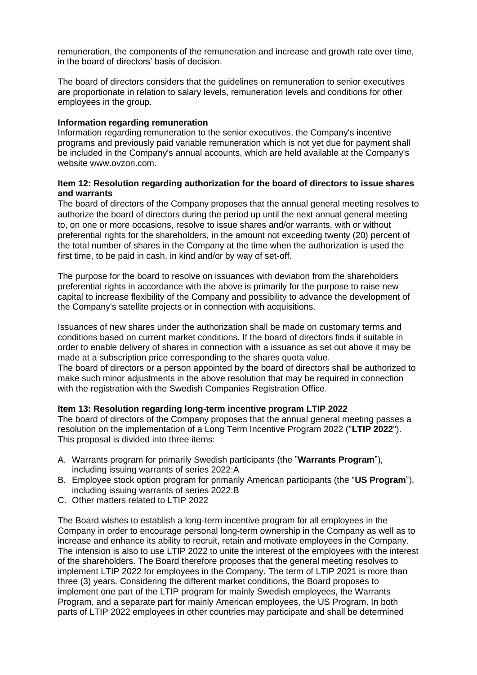remuneration, the components of the remuneration and increase and growth rate over time, in the board of directors' basis of decision.

The board of directors considers that the guidelines on remuneration to senior executives are proportionate in relation to salary levels, remuneration levels and conditions for other employees in the group.

## **Information regarding remuneration**

Information regarding remuneration to the senior executives, the Company's incentive programs and previously paid variable remuneration which is not yet due for payment shall be included in the Company's annual accounts, which are held available at the Company's website www.ovzon.com.

## **Item 12: Resolution regarding authorization for the board of directors to issue shares and warrants**

The board of directors of the Company proposes that the annual general meeting resolves to authorize the board of directors during the period up until the next annual general meeting to, on one or more occasions, resolve to issue shares and/or warrants, with or without preferential rights for the shareholders, in the amount not exceeding twenty (20) percent of the total number of shares in the Company at the time when the authorization is used the first time, to be paid in cash, in kind and/or by way of set-off.

The purpose for the board to resolve on issuances with deviation from the shareholders preferential rights in accordance with the above is primarily for the purpose to raise new capital to increase flexibility of the Company and possibility to advance the development of the Company's satellite projects or in connection with acquisitions.

Issuances of new shares under the authorization shall be made on customary terms and conditions based on current market conditions. If the board of directors finds it suitable in order to enable delivery of shares in connection with a issuance as set out above it may be made at a subscription price corresponding to the shares quota value.

The board of directors or a person appointed by the board of directors shall be authorized to make such minor adjustments in the above resolution that may be required in connection with the registration with the Swedish Companies Registration Office.

# **Item 13: Resolution regarding long-term incentive program LTIP 2022**

The board of directors of the Company proposes that the annual general meeting passes a resolution on the implementation of a Long Term Incentive Program 2022 ("**LTIP 2022**"). This proposal is divided into three items:

- A. Warrants program for primarily Swedish participants (the "**Warrants Program**"), including issuing warrants of series 2022:A
- B. Employee stock option program for primarily American participants (the "**US Program**"), including issuing warrants of series 2022:B
- C. Other matters related to LTIP 2022

The Board wishes to establish a long-term incentive program for all employees in the Company in order to encourage personal long-term ownership in the Company as well as to increase and enhance its ability to recruit, retain and motivate employees in the Company. The intension is also to use LTIP 2022 to unite the interest of the employees with the interest of the shareholders. The Board therefore proposes that the general meeting resolves to implement LTIP 2022 for employees in the Company. The term of LTIP 2021 is more than three (3) years. Considering the different market conditions, the Board proposes to implement one part of the LTIP program for mainly Swedish employees, the Warrants Program, and a separate part for mainly American employees, the US Program. In both parts of LTIP 2022 employees in other countries may participate and shall be determined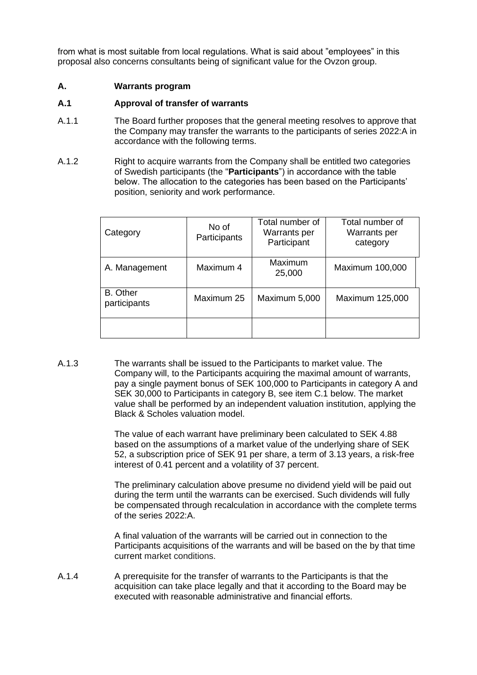from what is most suitable from local regulations. What is said about "employees" in this proposal also concerns consultants being of significant value for the Ovzon group.

## **A. Warrants program**

## **A.1 Approval of transfer of warrants**

- A.1.1 The Board further proposes that the general meeting resolves to approve that the Company may transfer the warrants to the participants of series 2022:A in accordance with the following terms.
- A.1.2 Right to acquire warrants from the Company shall be entitled two categories of Swedish participants (the "**Participants**") in accordance with the table below. The allocation to the categories has been based on the Participants' position, seniority and work performance.

| Category                        | No of<br>Participants | Total number of<br>Warrants per<br>Participant | Total number of<br>Warrants per<br>category |
|---------------------------------|-----------------------|------------------------------------------------|---------------------------------------------|
| A. Management                   | Maximum 4             | Maximum<br>25,000                              | Maximum 100,000                             |
| <b>B.</b> Other<br>participants | Maximum 25            | Maximum 5,000                                  | Maximum 125,000                             |
|                                 |                       |                                                |                                             |

A.1.3 The warrants shall be issued to the Participants to market value. The Company will, to the Participants acquiring the maximal amount of warrants, pay a single payment bonus of SEK 100,000 to Participants in category A and SEK 30,000 to Participants in category B, see item C.1 below. The market value shall be performed by an independent valuation institution, applying the Black & Scholes valuation model.

> The value of each warrant have preliminary been calculated to SEK 4.88 based on the assumptions of a market value of the underlying share of SEK 52, a subscription price of SEK 91 per share, a term of 3.13 years, a risk-free interest of 0.41 percent and a volatility of 37 percent.

> The preliminary calculation above presume no dividend yield will be paid out during the term until the warrants can be exercised. Such dividends will fully be compensated through recalculation in accordance with the complete terms of the series 2022:A.

> A final valuation of the warrants will be carried out in connection to the Participants acquisitions of the warrants and will be based on the by that time current market conditions.

A.1.4 A prerequisite for the transfer of warrants to the Participants is that the acquisition can take place legally and that it according to the Board may be executed with reasonable administrative and financial efforts.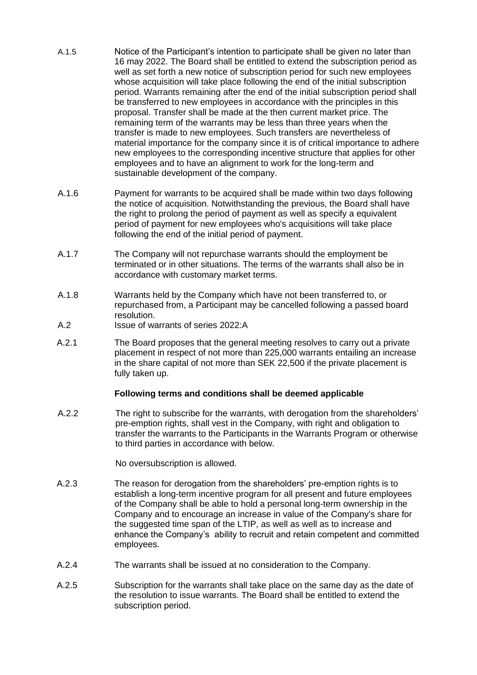- A.1.5 Notice of the Participant's intention to participate shall be given no later than 16 may 2022. The Board shall be entitled to extend the subscription period as well as set forth a new notice of subscription period for such new employees whose acquisition will take place following the end of the initial subscription period. Warrants remaining after the end of the initial subscription period shall be transferred to new employees in accordance with the principles in this proposal. Transfer shall be made at the then current market price. The remaining term of the warrants may be less than three years when the transfer is made to new employees. Such transfers are nevertheless of material importance for the company since it is of critical importance to adhere new employees to the corresponding incentive structure that applies for other employees and to have an alignment to work for the long-term and sustainable development of the company.
- A.1.6 Payment for warrants to be acquired shall be made within two days following the notice of acquisition. Notwithstanding the previous, the Board shall have the right to prolong the period of payment as well as specify a equivalent period of payment for new employees who's acquisitions will take place following the end of the initial period of payment.
- A.1.7 The Company will not repurchase warrants should the employment be terminated or in other situations. The terms of the warrants shall also be in accordance with customary market terms.
- A.1.8 Warrants held by the Company which have not been transferred to, or repurchased from, a Participant may be cancelled following a passed board resolution.
- A.2 Issue of warrants of series 2022:A
- A.2.1 The Board proposes that the general meeting resolves to carry out a private placement in respect of not more than 225,000 warrants entailing an increase in the share capital of not more than SEK 22,500 if the private placement is fully taken up.

#### **Following terms and conditions shall be deemed applicable**

A.2.2 The right to subscribe for the warrants, with derogation from the shareholders' pre-emption rights, shall vest in the Company, with right and obligation to transfer the warrants to the Participants in the Warrants Program or otherwise to third parties in accordance with below.

No oversubscription is allowed.

- A.2.3 The reason for derogation from the shareholders' pre-emption rights is to establish a long-term incentive program for all present and future employees of the Company shall be able to hold a personal long-term ownership in the Company and to encourage an increase in value of the Company's share for the suggested time span of the LTIP, as well as well as to increase and enhance the Company's ability to recruit and retain competent and committed employees.
- A.2.4 The warrants shall be issued at no consideration to the Company.
- A.2.5 Subscription for the warrants shall take place on the same day as the date of the resolution to issue warrants. The Board shall be entitled to extend the subscription period.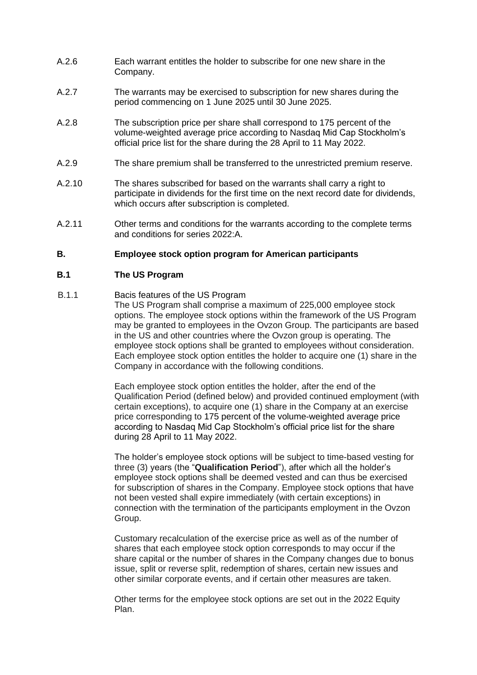- A.2.6 Each warrant entitles the holder to subscribe for one new share in the Company.
- A.2.7 The warrants may be exercised to subscription for new shares during the period commencing on 1 June 2025 until 30 June 2025.
- A.2.8 The subscription price per share shall correspond to 175 percent of the volume-weighted average price according to Nasdaq Mid Cap Stockholm's official price list for the share during the 28 April to 11 May 2022.
- A.2.9 The share premium shall be transferred to the unrestricted premium reserve.
- A.2.10 The shares subscribed for based on the warrants shall carry a right to participate in dividends for the first time on the next record date for dividends, which occurs after subscription is completed.
- A.2.11 Other terms and conditions for the warrants according to the complete terms and conditions for series 2022:A.

#### **B. Employee stock option program for American participants**

## **B.1 The US Program**

## B.1.1 Bacis features of the US Program

The US Program shall comprise a maximum of 225,000 employee stock options. The employee stock options within the framework of the US Program may be granted to employees in the Ovzon Group. The participants are based in the US and other countries where the Ovzon group is operating. The employee stock options shall be granted to employees without consideration. Each employee stock option entitles the holder to acquire one (1) share in the Company in accordance with the following conditions.

Each employee stock option entitles the holder, after the end of the Qualification Period (defined below) and provided continued employment (with certain exceptions), to acquire one (1) share in the Company at an exercise price corresponding to 175 percent of the volume-weighted average price according to Nasdaq Mid Cap Stockholm's official price list for the share during 28 April to 11 May 2022.

The holder's employee stock options will be subject to time-based vesting for three (3) years (the "**Qualification Period**"), after which all the holder's employee stock options shall be deemed vested and can thus be exercised for subscription of shares in the Company. Employee stock options that have not been vested shall expire immediately (with certain exceptions) in connection with the termination of the participants employment in the Ovzon Group.

Customary recalculation of the exercise price as well as of the number of shares that each employee stock option corresponds to may occur if the share capital or the number of shares in the Company changes due to bonus issue, split or reverse split, redemption of shares, certain new issues and other similar corporate events, and if certain other measures are taken.

Other terms for the employee stock options are set out in the 2022 Equity Plan.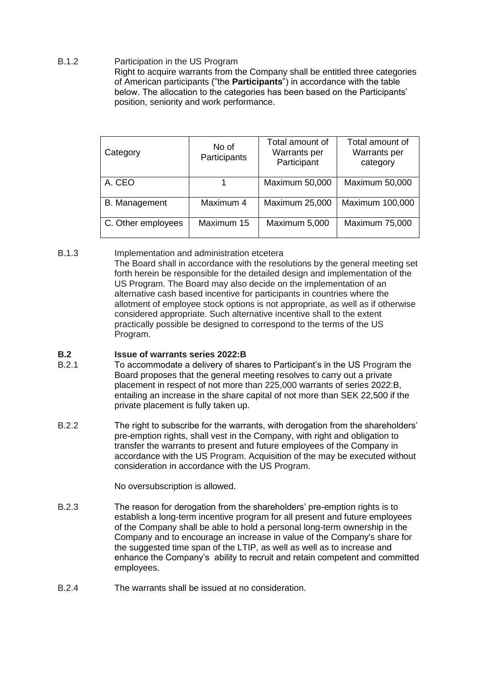B.1.2 Participation in the US Program Right to acquire warrants from the Company shall be entitled three categories of American participants ("the **Participants**") in accordance with the table below. The allocation to the categories has been based on the Participants' position, seniority and work performance.

| Category             | No of<br>Participants | Total amount of<br>Warrants per<br>Participant | Total amount of<br>Warrants per<br>category |
|----------------------|-----------------------|------------------------------------------------|---------------------------------------------|
| A. CEO               |                       | <b>Maximum 50,000</b>                          | <b>Maximum 50,000</b>                       |
| <b>B.</b> Management | Maximum 4             | <b>Maximum 25,000</b>                          | Maximum 100,000                             |
| C. Other employees   | Maximum 15            | Maximum 5,000                                  | <b>Maximum 75,000</b>                       |

B.1.3 Implementation and administration etcetera The Board shall in accordance with the resolutions by the general meeting set forth herein be responsible for the detailed design and implementation of the US Program. The Board may also decide on the implementation of an alternative cash based incentive for participants in countries where the allotment of employee stock options is not appropriate, as well as if otherwise considered appropriate. Such alternative incentive shall to the extent practically possible be designed to correspond to the terms of the US Program.

# **B.2 Issue of warrants series 2022:B**<br>B.2.1 **ID** accommodate a delivery of sha

- To accommodate a delivery of shares to Participant's in the US Program the Board proposes that the general meeting resolves to carry out a private placement in respect of not more than 225,000 warrants of series 2022:B, entailing an increase in the share capital of not more than SEK 22,500 if the private placement is fully taken up.
- B.2.2 The right to subscribe for the warrants, with derogation from the shareholders' pre-emption rights, shall vest in the Company, with right and obligation to transfer the warrants to present and future employees of the Company in accordance with the US Program. Acquisition of the may be executed without consideration in accordance with the US Program.

No oversubscription is allowed.

- B.2.3 The reason for derogation from the shareholders' pre-emption rights is to establish a long-term incentive program for all present and future employees of the Company shall be able to hold a personal long-term ownership in the Company and to encourage an increase in value of the Company's share for the suggested time span of the LTIP, as well as well as to increase and enhance the Company's ability to recruit and retain competent and committed employees.
- B.2.4 The warrants shall be issued at no consideration.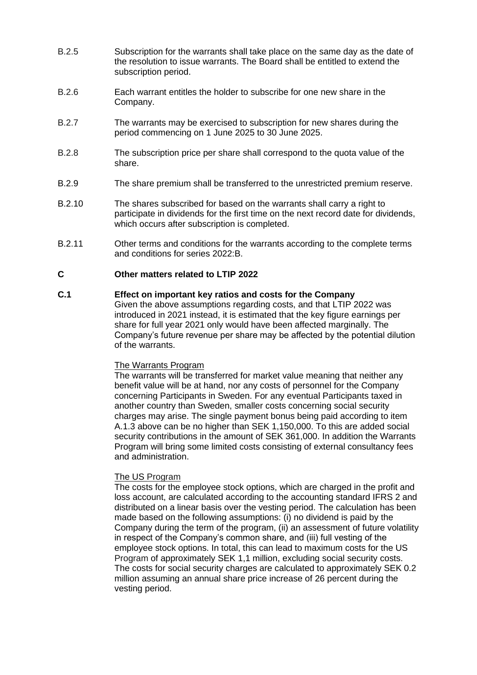- B.2.5 Subscription for the warrants shall take place on the same day as the date of the resolution to issue warrants. The Board shall be entitled to extend the subscription period.
- B.2.6 Each warrant entitles the holder to subscribe for one new share in the Company.
- B.2.7 The warrants may be exercised to subscription for new shares during the period commencing on 1 June 2025 to 30 June 2025.
- B.2.8 The subscription price per share shall correspond to the quota value of the share.
- B.2.9 The share premium shall be transferred to the unrestricted premium reserve.
- B.2.10 The shares subscribed for based on the warrants shall carry a right to participate in dividends for the first time on the next record date for dividends, which occurs after subscription is completed.
- B.2.11 Other terms and conditions for the warrants according to the complete terms and conditions for series 2022:B.

## **C Other matters related to LTIP 2022**

# **C.1 Effect on important key ratios and costs for the Company**

Given the above assumptions regarding costs, and that LTIP 2022 was introduced in 2021 instead, it is estimated that the key figure earnings per share for full year 2021 only would have been affected marginally. The Company's future revenue per share may be affected by the potential dilution of the warrants.

#### The Warrants Program

The warrants will be transferred for market value meaning that neither any benefit value will be at hand, nor any costs of personnel for the Company concerning Participants in Sweden. For any eventual Participants taxed in another country than Sweden, smaller costs concerning social security charges may arise. The single payment bonus being paid according to item A.1.3 above can be no higher than SEK 1,150,000. To this are added social security contributions in the amount of SEK 361,000. In addition the Warrants Program will bring some limited costs consisting of external consultancy fees and administration.

#### The US Program

The costs for the employee stock options, which are charged in the profit and loss account, are calculated according to the accounting standard IFRS 2 and distributed on a linear basis over the vesting period. The calculation has been made based on the following assumptions: (i) no dividend is paid by the Company during the term of the program, (ii) an assessment of future volatility in respect of the Company's common share, and (iii) full vesting of the employee stock options. In total, this can lead to maximum costs for the US Program of approximately SEK 1,1 million, excluding social security costs. The costs for social security charges are calculated to approximately SEK 0.2 million assuming an annual share price increase of 26 percent during the vesting period.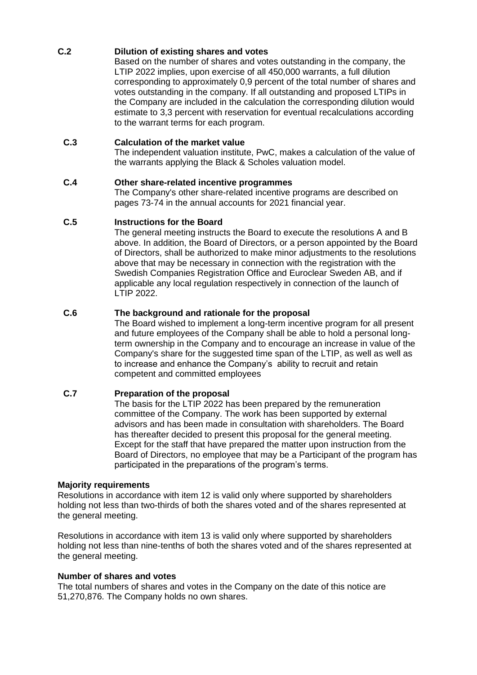# **C.2 Dilution of existing shares and votes**

Based on the number of shares and votes outstanding in the company, the LTIP 2022 implies, upon exercise of all 450,000 warrants, a full dilution corresponding to approximately 0,9 percent of the total number of shares and votes outstanding in the company. If all outstanding and proposed LTIPs in the Company are included in the calculation the corresponding dilution would estimate to 3,3 percent with reservation for eventual recalculations according to the warrant terms for each program.

# **C.3 Calculation of the market value**

The independent valuation institute, PwC, makes a calculation of the value of the warrants applying the Black & Scholes valuation model.

# **C.4 Other share-related incentive programmes**

The Company's other share-related incentive programs are described on pages 73-74 in the annual accounts for 2021 financial year.

# **C.5 Instructions for the Board**

The general meeting instructs the Board to execute the resolutions A and B above. In addition, the Board of Directors, or a person appointed by the Board of Directors, shall be authorized to make minor adjustments to the resolutions above that may be necessary in connection with the registration with the Swedish Companies Registration Office and Euroclear Sweden AB, and if applicable any local regulation respectively in connection of the launch of LTIP 2022.

# **C.6 The background and rationale for the proposal**

The Board wished to implement a long-term incentive program for all present and future employees of the Company shall be able to hold a personal longterm ownership in the Company and to encourage an increase in value of the Company's share for the suggested time span of the LTIP, as well as well as to increase and enhance the Company's ability to recruit and retain competent and committed employees

# **C.7 Preparation of the proposal**

The basis for the LTIP 2022 has been prepared by the remuneration committee of the Company. The work has been supported by external advisors and has been made in consultation with shareholders. The Board has thereafter decided to present this proposal for the general meeting. Except for the staff that have prepared the matter upon instruction from the Board of Directors, no employee that may be a Participant of the program has participated in the preparations of the program's terms.

# **Majority requirements**

Resolutions in accordance with item 12 is valid only where supported by shareholders holding not less than two-thirds of both the shares voted and of the shares represented at the general meeting.

Resolutions in accordance with item 13 is valid only where supported by shareholders holding not less than nine-tenths of both the shares voted and of the shares represented at the general meeting.

# **Number of shares and votes**

The total numbers of shares and votes in the Company on the date of this notice are 51,270,876. The Company holds no own shares.